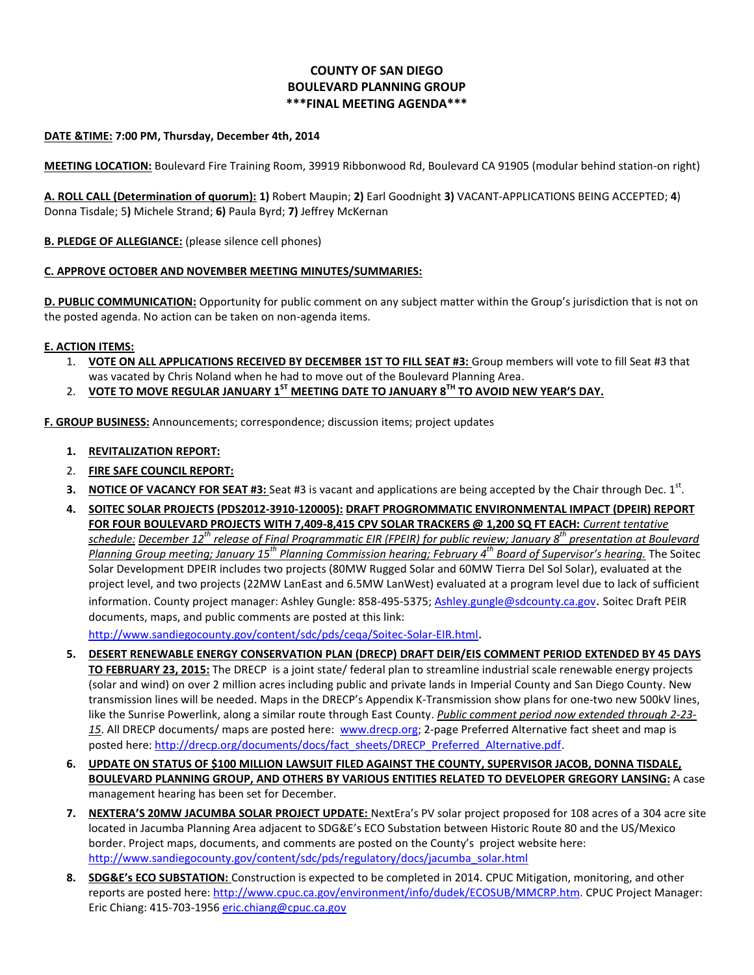## **COUNTY OF SAN DIEGO BOULEVARD PLANNING GROUP \*\*\*FINAL MEETING AGENDA\*\*\***

### **DATE &TIME: 7:00 PM, Thursday, December 4th, 2014**

**MEETING LOCATION:** Boulevard Fire Training Room, 39919 Ribbonwood Rd, Boulevard CA 91905 (modular behind station-on right)

**A. ROLL CALL (Determination of quorum): 1)** Robert Maupin; **2)** Earl Goodnight **3)** VACANT-APPLICATIONS BEING ACCEPTED; **4**) Donna Tisdale; 5**)** Michele Strand; **6)** Paula Byrd; **7)** Jeffrey McKernan

### **B. PLEDGE OF ALLEGIANCE:** (please silence cell phones)

### **C. APPROVE OCTOBER AND NOVEMBER MEETING MINUTES/SUMMARIES:**

**D. PUBLIC COMMUNICATION:** Opportunity for public comment on any subject matter within the Group's jurisdiction that is not on the posted agenda. No action can be taken on non-agenda items.

### **E. ACTION ITEMS:**

- 1. **VOTE ON ALL APPLICATIONS RECEIVED BY DECEMBER 1ST TO FILL SEAT #3:** Group members will vote to fill Seat #3 that was vacated by Chris Noland when he had to move out of the Boulevard Planning Area.
- 2. **VOTE TO MOVE REGULAR JANUARY 1 ST MEETING DATE TO JANUARY 8TH TO AVOID NEW YEAR'S DAY.**

**F. GROUP BUSINESS:** Announcements; correspondence; discussion items; project updates

- **1. REVITALIZATION REPORT:**
- 2. **FIRE SAFE COUNCIL REPORT:**
- 3. NOTICE OF VACANCY FOR SEAT #3: Seat #3 is vacant and applications are being accepted by the Chair through Dec. 1<sup>st</sup>.
- **4. SOITEC SOLAR PROJECTS (PDS2012-3910-120005): DRAFT PROGROMMATIC ENVIRONMENTAL IMPACT (DPEIR) REPORT FOR FOUR BOULEVARD PROJECTS WITH 7,409-8,415 CPV SOLAR TRACKERS @ 1,200 SQ FT EACH:** *Current tentative schedule: December 12th release of Final Programmatic EIR (FPEIR) for public review; January 8th presentation at Boulevard Planning Group meeting; January 15th Planning Commission hearing; February 4th Board of Supervisor's hearing.* The Soitec Solar Development DPEIR includes two projects (80MW Rugged Solar and 60MW Tierra Del Sol Solar), evaluated at the project level, and two projects (22MW LanEast and 6.5MW LanWest) evaluated at a program level due to lack of sufficient information. County project manager: Ashley Gungle: 858-495-5375; [Ashley.gungle@sdcounty.ca.gov](mailto:Ashley.gungle@sdcounty.ca.gov). Soitec Draft PEIR documents, maps, and public comments are posted at this link:

<http://www.sandiegocounty.gov/content/sdc/pds/ceqa/Soitec-Solar-EIR.html>.

- **5. DESERT RENEWABLE ENERGY CONSERVATION PLAN (DRECP) DRAFT DEIR/EIS COMMENT PERIOD EXTENDED BY 45 DAYS TO FEBRUARY 23, 2015:** The DRECP is a joint state/ federal plan to streamline industrial scale renewable energy projects (solar and wind) on over 2 million acres including public and private lands in Imperial County and San Diego County. New transmission lines will be needed. Maps in the DRECP's Appendix K-Transmission show plans for one-two new 500kV lines, like the Sunrise Powerlink, along a similar route through East County. *Public comment period now extended through 2-23- 15*. All DRECP documents/ maps are posted here: www.drecp.org; 2-page Preferred Alternative fact sheet and map is posted here: [http://drecp.org/documents/docs/fact\\_sheets/DRECP\\_Preferred\\_Alternative.pdf.](http://drecp.org/documents/docs/fact_sheets/DRECP_Preferred_Alternative.pdf)
- **6. UPDATE ON STATUS OF \$100 MILLION LAWSUIT FILED AGAINST THE COUNTY, SUPERVISOR JACOB, DONNA TISDALE, BOULEVARD PLANNING GROUP, AND OTHERS BY VARIOUS ENTITIES RELATED TO DEVELOPER GREGORY LANSING:** A case management hearing has been set for December.
- **7. NEXTERA'S 20MW JACUMBA SOLAR PROJECT UPDATE:** NextEra's PV solar project proposed for 108 acres of a 304 acre site located in Jacumba Planning Area adjacent to SDG&E's ECO Substation between Historic Route 80 and the US/Mexico border. Project maps, documents, and comments are posted on the County's project website here: [http://www.sandiegocounty.gov/content/sdc/pds/regulatory/docs/jacumba\\_solar.html](http://www.sandiegocounty.gov/content/sdc/pds/regulatory/docs/jacumba_solar.html)
- **8. SDG&E's ECO SUBSTATION:** Construction is expected to be completed in 2014. CPUC Mitigation, monitoring, and other reports are posted here: [http://www.cpuc.ca.gov/environment/info/dudek/ECOSUB/MMCRP.htm.](http://www.cpuc.ca.gov/environment/info/dudek/ECOSUB/MMCRP.htm) CPUC Project Manager: Eric Chiang: 415-703-1956 [eric.chiang@cpuc.ca.gov](mailto:eric.chiang@cpuc.ca.gov)